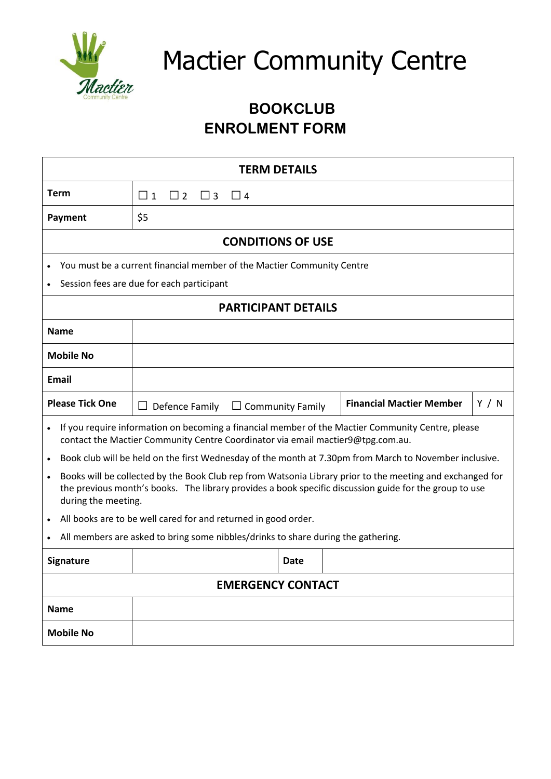

Mactier Community Centre

## **BOOKCLUB ENROLMENT FORM**

| <b>TERM DETAILS</b>                                                                                                                                                                                                                        |                                              |                         |  |                                 |       |
|--------------------------------------------------------------------------------------------------------------------------------------------------------------------------------------------------------------------------------------------|----------------------------------------------|-------------------------|--|---------------------------------|-------|
| <b>Term</b>                                                                                                                                                                                                                                | $\Box$ 1<br>$\Box$ 2<br>$\Box$ 3<br>$\Box$ 4 |                         |  |                                 |       |
| Payment                                                                                                                                                                                                                                    | \$5                                          |                         |  |                                 |       |
| <b>CONDITIONS OF USE</b>                                                                                                                                                                                                                   |                                              |                         |  |                                 |       |
| You must be a current financial member of the Mactier Community Centre                                                                                                                                                                     |                                              |                         |  |                                 |       |
| Session fees are due for each participant                                                                                                                                                                                                  |                                              |                         |  |                                 |       |
| <b>PARTICIPANT DETAILS</b>                                                                                                                                                                                                                 |                                              |                         |  |                                 |       |
| <b>Name</b>                                                                                                                                                                                                                                |                                              |                         |  |                                 |       |
| <b>Mobile No</b>                                                                                                                                                                                                                           |                                              |                         |  |                                 |       |
| Email                                                                                                                                                                                                                                      |                                              |                         |  |                                 |       |
| <b>Please Tick One</b>                                                                                                                                                                                                                     | $\Box$ Defence Family                        | $\Box$ Community Family |  | <b>Financial Mactier Member</b> | Y / N |
| If you require information on becoming a financial member of the Mactier Community Centre, please<br>$\bullet$<br>contact the Mactier Community Centre Coordinator via email mactier9@tpg.com.au.                                          |                                              |                         |  |                                 |       |
| Book club will be held on the first Wednesday of the month at 7.30pm from March to November inclusive.                                                                                                                                     |                                              |                         |  |                                 |       |
| Books will be collected by the Book Club rep from Watsonia Library prior to the meeting and exchanged for<br>the previous month's books. The library provides a book specific discussion guide for the group to use<br>during the meeting. |                                              |                         |  |                                 |       |
| All books are to be well cared for and returned in good order.                                                                                                                                                                             |                                              |                         |  |                                 |       |
| All members are asked to bring some nibbles/drinks to share during the gathering.                                                                                                                                                          |                                              |                         |  |                                 |       |
| <b>Signature</b>                                                                                                                                                                                                                           |                                              | Date                    |  |                                 |       |
| <b>EMERGENCY CONTACT</b>                                                                                                                                                                                                                   |                                              |                         |  |                                 |       |
| <b>Name</b>                                                                                                                                                                                                                                |                                              |                         |  |                                 |       |
| <b>Mobile No</b>                                                                                                                                                                                                                           |                                              |                         |  |                                 |       |